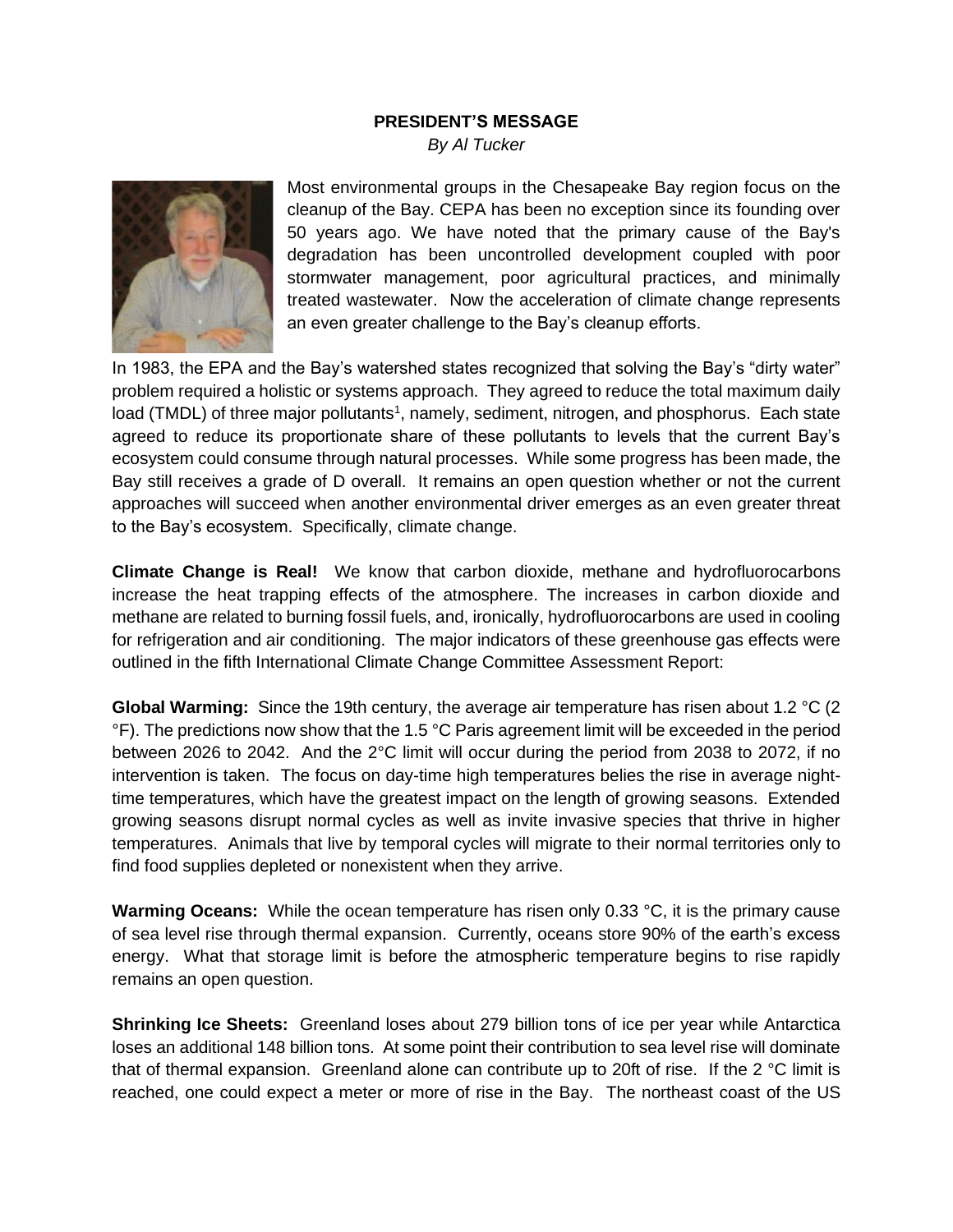## **PRESIDENT'S MESSAGE**

*By Al Tucker*



Most environmental groups in the Chesapeake Bay region focus on the cleanup of the Bay. CEPA has been no exception since its founding over 50 years ago. We have noted that the primary cause of the Bay's degradation has been uncontrolled development coupled with poor stormwater management, poor agricultural practices, and minimally treated wastewater. Now the acceleration of climate change represents an even greater challenge to the Bay's cleanup efforts.

In 1983, the EPA and the Bay's watershed states recognized that solving the Bay's "dirty water" problem required a holistic or systems approach. They agreed to reduce the total maximum daily load (TMDL) of three major pollutants<sup>1</sup>, namely, sediment, nitrogen, and phosphorus. Each state agreed to reduce its proportionate share of these pollutants to levels that the current Bay's ecosystem could consume through natural processes. While some progress has been made, the Bay still receives a grade of D overall. It remains an open question whether or not the current approaches will succeed when another environmental driver emerges as an even greater threat to the Bay's ecosystem. Specifically, climate change.

**Climate Change is Real!** We know that carbon dioxide, methane and hydrofluorocarbons increase the heat trapping effects of the atmosphere. The increases in carbon dioxide and methane are related to burning fossil fuels, and, ironically, hydrofluorocarbons are used in cooling for refrigeration and air conditioning. The major indicators of these greenhouse gas effects were outlined in the fifth International Climate Change Committee Assessment Report:

**Global Warming:** Since the 19th century, the average air temperature has risen about 1.2 °C (2 °F). The predictions now show that the 1.5 °C Paris agreement limit will be exceeded in the period between 2026 to 2042. And the 2°C limit will occur during the period from 2038 to 2072, if no intervention is taken. The focus on day-time high temperatures belies the rise in average nighttime temperatures, which have the greatest impact on the length of growing seasons. Extended growing seasons disrupt normal cycles as well as invite invasive species that thrive in higher temperatures. Animals that live by temporal cycles will migrate to their normal territories only to find food supplies depleted or nonexistent when they arrive.

**Warming Oceans:** While the ocean temperature has risen only 0.33 °C, it is the primary cause of sea level rise through thermal expansion. Currently, oceans store 90% of the earth's excess energy. What that storage limit is before the atmospheric temperature begins to rise rapidly remains an open question.

**Shrinking Ice Sheets:** Greenland loses about 279 billion tons of ice per year while Antarctica loses an additional 148 billion tons. At some point their contribution to sea level rise will dominate that of thermal expansion. Greenland alone can contribute up to 20ft of rise. If the 2 °C limit is reached, one could expect a meter or more of rise in the Bay. The northeast coast of the US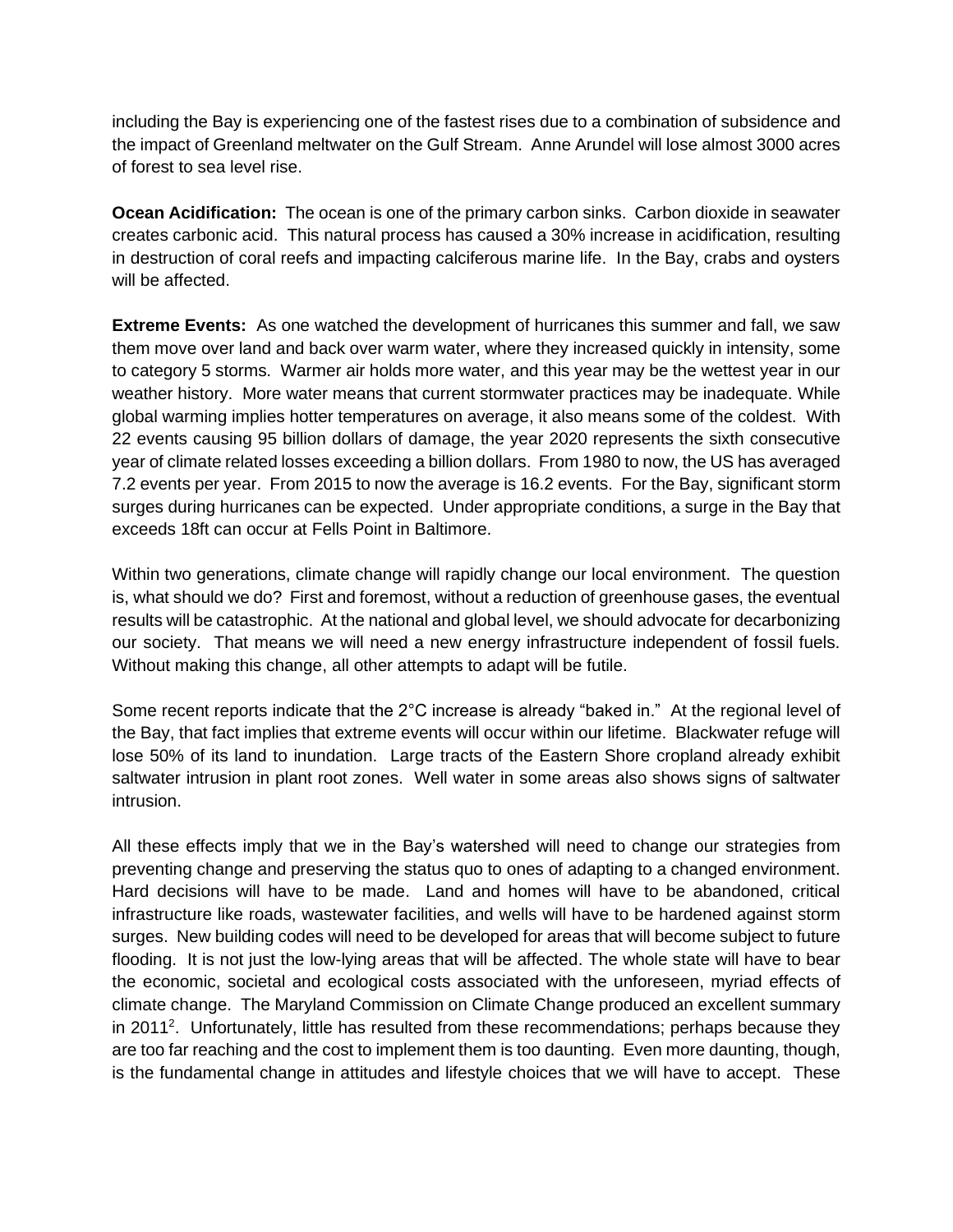including the Bay is experiencing one of the fastest rises due to a combination of subsidence and the impact of Greenland meltwater on the Gulf Stream. Anne Arundel will lose almost 3000 acres of forest to sea level rise.

**Ocean Acidification:** The ocean is one of the primary carbon sinks. Carbon dioxide in seawater creates carbonic acid. This natural process has caused a 30% increase in acidification, resulting in destruction of coral reefs and impacting calciferous marine life. In the Bay, crabs and oysters will be affected.

**Extreme Events:** As one watched the development of hurricanes this summer and fall, we saw them move over land and back over warm water, where they increased quickly in intensity, some to category 5 storms. Warmer air holds more water, and this year may be the wettest year in our weather history. More water means that current stormwater practices may be inadequate. While global warming implies hotter temperatures on average, it also means some of the coldest. With 22 events causing 95 billion dollars of damage, the year 2020 represents the sixth consecutive year of climate related losses exceeding a billion dollars. From 1980 to now, the US has averaged 7.2 events per year. From 2015 to now the average is 16.2 events. For the Bay, significant storm surges during hurricanes can be expected. Under appropriate conditions, a surge in the Bay that exceeds 18ft can occur at Fells Point in Baltimore.

Within two generations, climate change will rapidly change our local environment. The question is, what should we do? First and foremost, without a reduction of greenhouse gases, the eventual results will be catastrophic. At the national and global level, we should advocate for decarbonizing our society. That means we will need a new energy infrastructure independent of fossil fuels. Without making this change, all other attempts to adapt will be futile.

Some recent reports indicate that the 2°C increase is already "baked in." At the regional level of the Bay, that fact implies that extreme events will occur within our lifetime. Blackwater refuge will lose 50% of its land to inundation. Large tracts of the Eastern Shore cropland already exhibit saltwater intrusion in plant root zones. Well water in some areas also shows signs of saltwater intrusion.

All these effects imply that we in the Bay's watershed will need to change our strategies from preventing change and preserving the status quo to ones of adapting to a changed environment. Hard decisions will have to be made. Land and homes will have to be abandoned, critical infrastructure like roads, wastewater facilities, and wells will have to be hardened against storm surges. New building codes will need to be developed for areas that will become subject to future flooding. It is not just the low-lying areas that will be affected. The whole state will have to bear the economic, societal and ecological costs associated with the unforeseen, myriad effects of climate change. The Maryland Commission on Climate Change produced an excellent summary in 2011<sup>2</sup>. Unfortunately, little has resulted from these recommendations; perhaps because they are too far reaching and the cost to implement them is too daunting. Even more daunting, though, is the fundamental change in attitudes and lifestyle choices that we will have to accept. These